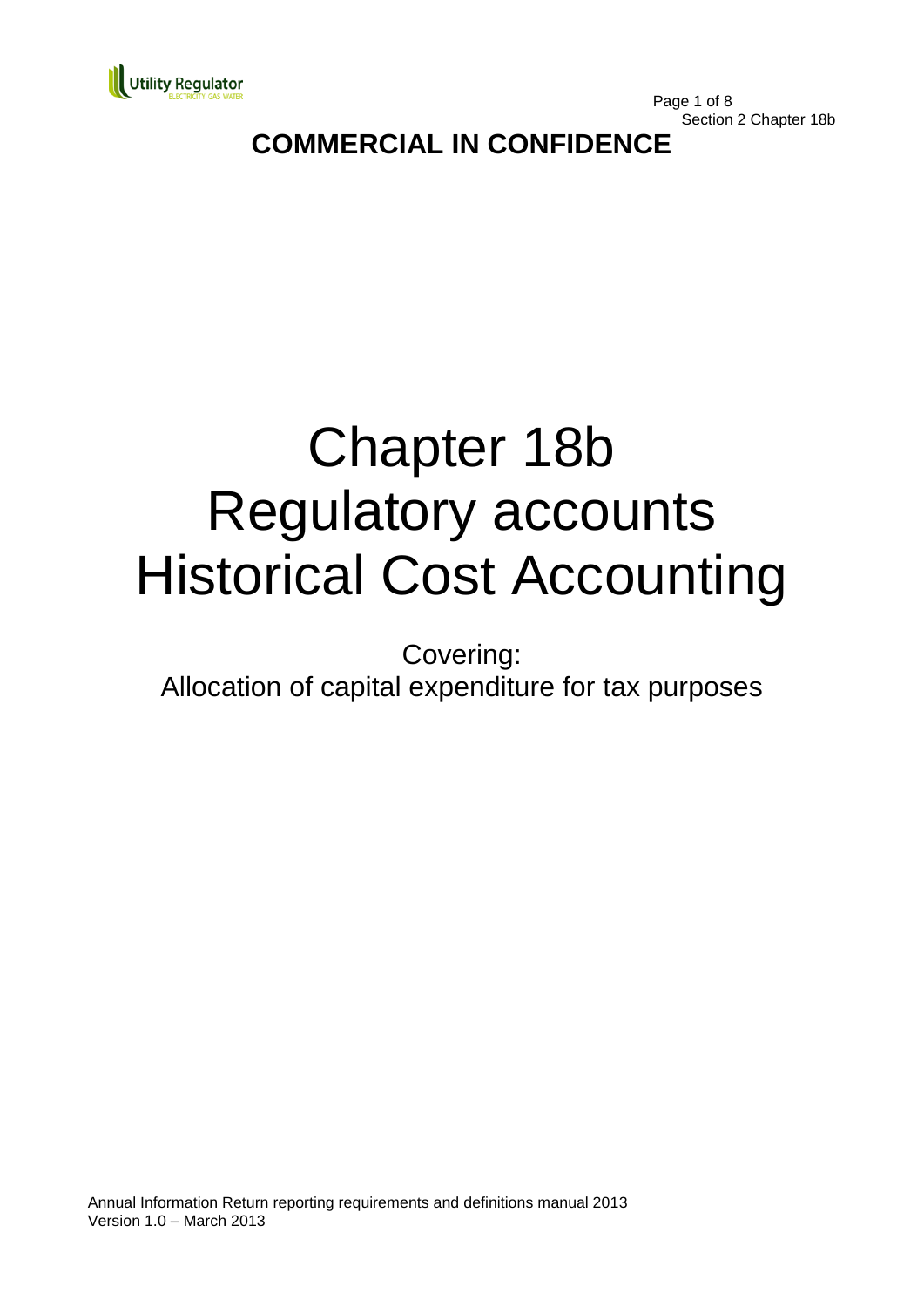

Page 1 of 8 Section 2 Chapter 18b

# **COMMERCIAL IN CONFIDENCE**

# Chapter 18b Regulatory accounts Historical Cost Accounting

Covering:

Allocation of capital expenditure for tax purposes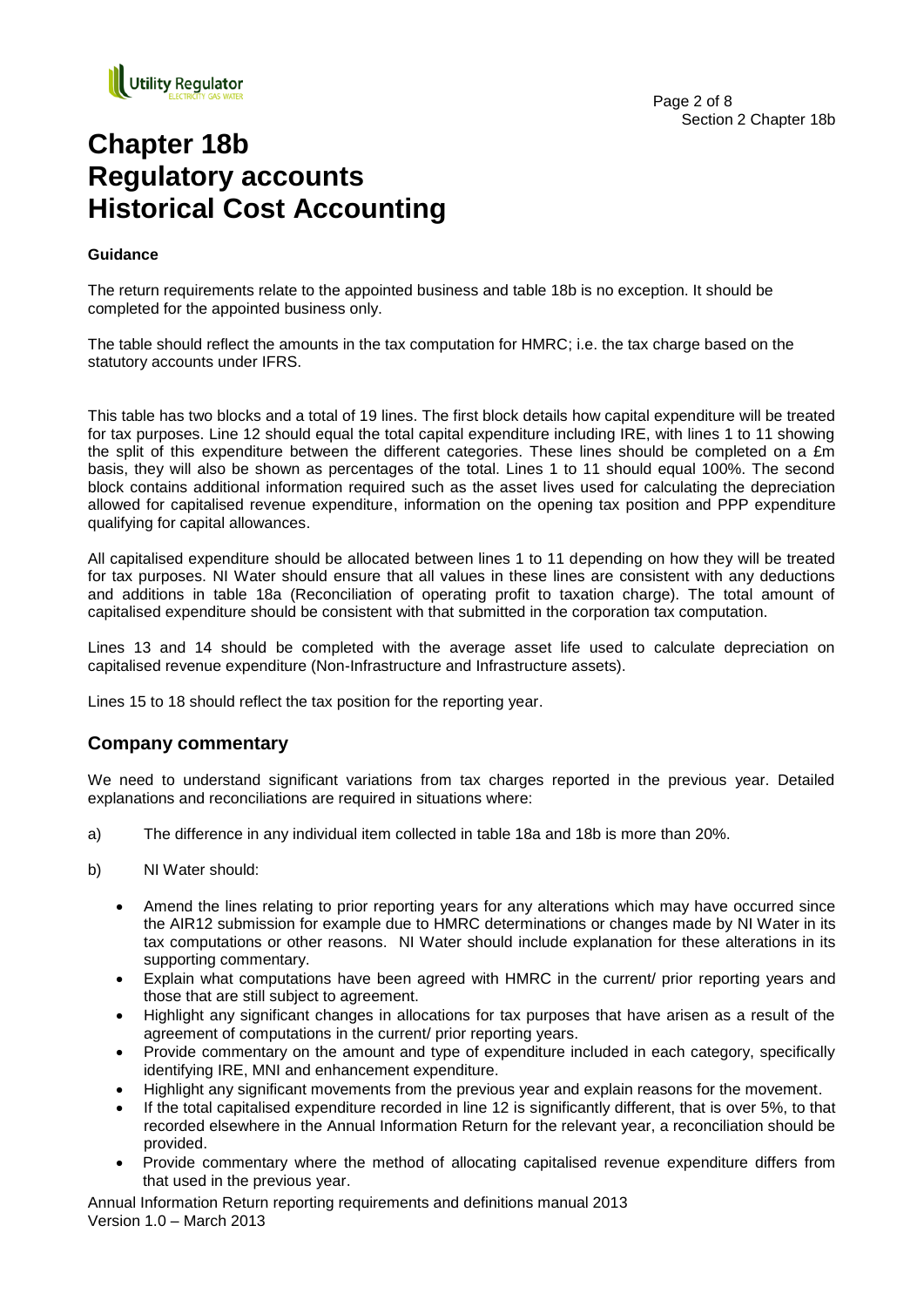

## **Chapter 18b Regulatory accounts Historical Cost Accounting**

#### **Guidance**

The return requirements relate to the appointed business and table 18b is no exception. It should be completed for the appointed business only.

The table should reflect the amounts in the tax computation for HMRC; i.e. the tax charge based on the statutory accounts under IFRS.

This table has two blocks and a total of 19 lines. The first block details how capital expenditure will be treated for tax purposes. Line 12 should equal the total capital expenditure including IRE, with lines 1 to 11 showing the split of this expenditure between the different categories. These lines should be completed on a £m basis, they will also be shown as percentages of the total. Lines 1 to 11 should equal 100%. The second block contains additional information required such as the asset lives used for calculating the depreciation allowed for capitalised revenue expenditure, information on the opening tax position and PPP expenditure qualifying for capital allowances.

All capitalised expenditure should be allocated between lines 1 to 11 depending on how they will be treated for tax purposes. NI Water should ensure that all values in these lines are consistent with any deductions and additions in table 18a (Reconciliation of operating profit to taxation charge). The total amount of capitalised expenditure should be consistent with that submitted in the corporation tax computation.

Lines 13 and 14 should be completed with the average asset life used to calculate depreciation on capitalised revenue expenditure (Non-Infrastructure and Infrastructure assets).

Lines 15 to 18 should reflect the tax position for the reporting year.

#### **Company commentary**

We need to understand significant variations from tax charges reported in the previous year. Detailed explanations and reconciliations are required in situations where:

- a) The difference in any individual item collected in table 18a and 18b is more than 20%.
- b) NI Water should:
	- Amend the lines relating to prior reporting years for any alterations which may have occurred since the AIR12 submission for example due to HMRC determinations or changes made by NI Water in its tax computations or other reasons. NI Water should include explanation for these alterations in its supporting commentary.
	- Explain what computations have been agreed with HMRC in the current/ prior reporting years and those that are still subject to agreement.
	- Highlight any significant changes in allocations for tax purposes that have arisen as a result of the agreement of computations in the current/ prior reporting years.
	- Provide commentary on the amount and type of expenditure included in each category, specifically identifying IRE, MNI and enhancement expenditure.
	- Highlight any significant movements from the previous year and explain reasons for the movement.
	- If the total capitalised expenditure recorded in line 12 is significantly different, that is over 5%, to that recorded elsewhere in the Annual Information Return for the relevant year, a reconciliation should be provided.
	- Provide commentary where the method of allocating capitalised revenue expenditure differs from that used in the previous year.

Annual Information Return reporting requirements and definitions manual 2013 Version 1.0 – March 2013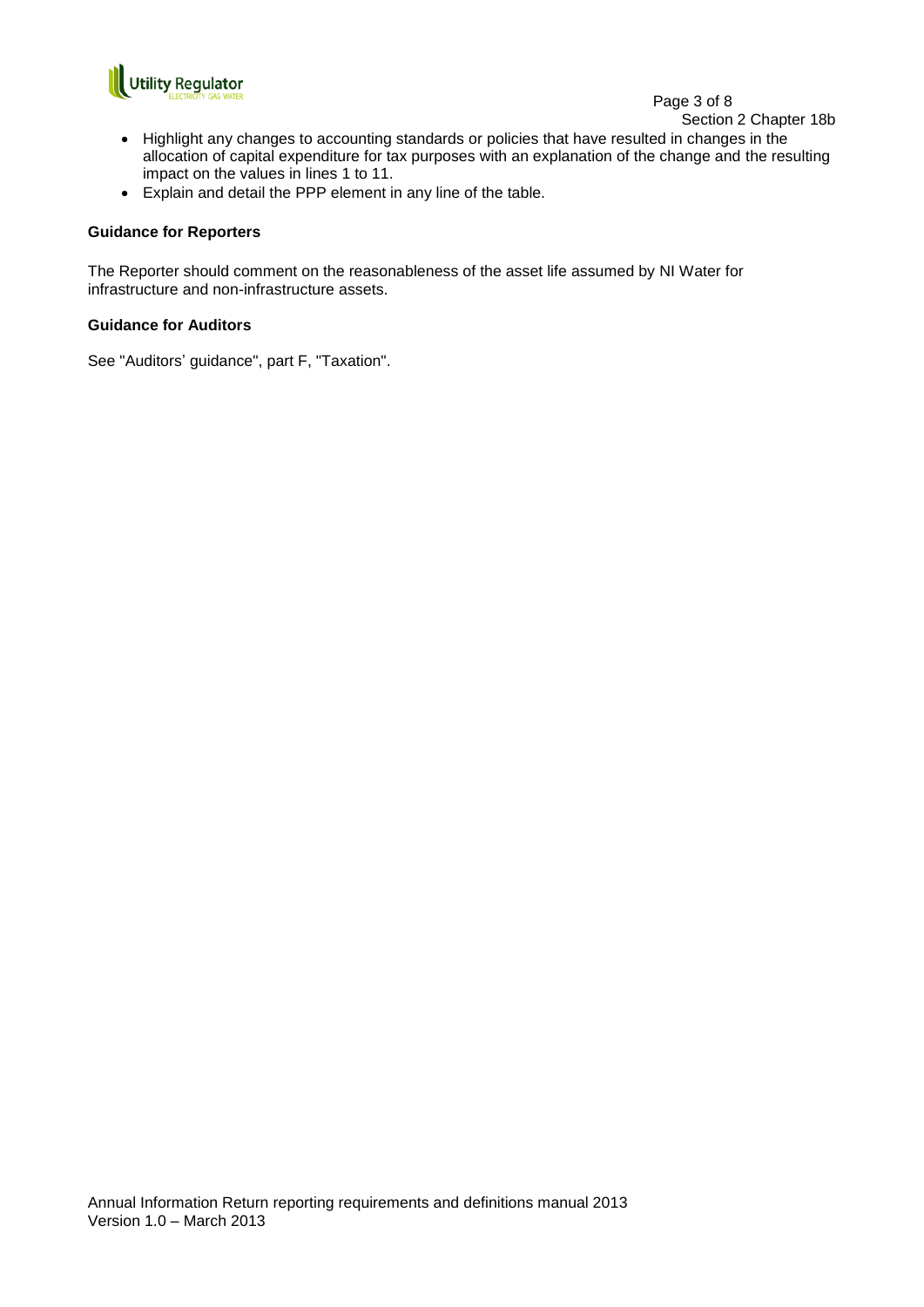

#### Page 3 of 8

Section 2 Chapter 18b

- Highlight any changes to accounting standards or policies that have resulted in changes in the allocation of capital expenditure for tax purposes with an explanation of the change and the resulting impact on the values in lines 1 to 11.
- Explain and detail the PPP element in any line of the table.

#### **Guidance for Reporters**

The Reporter should comment on the reasonableness of the asset life assumed by NI Water for infrastructure and non-infrastructure assets.

#### **Guidance for Auditors**

See "Auditors' guidance", part F, "Taxation".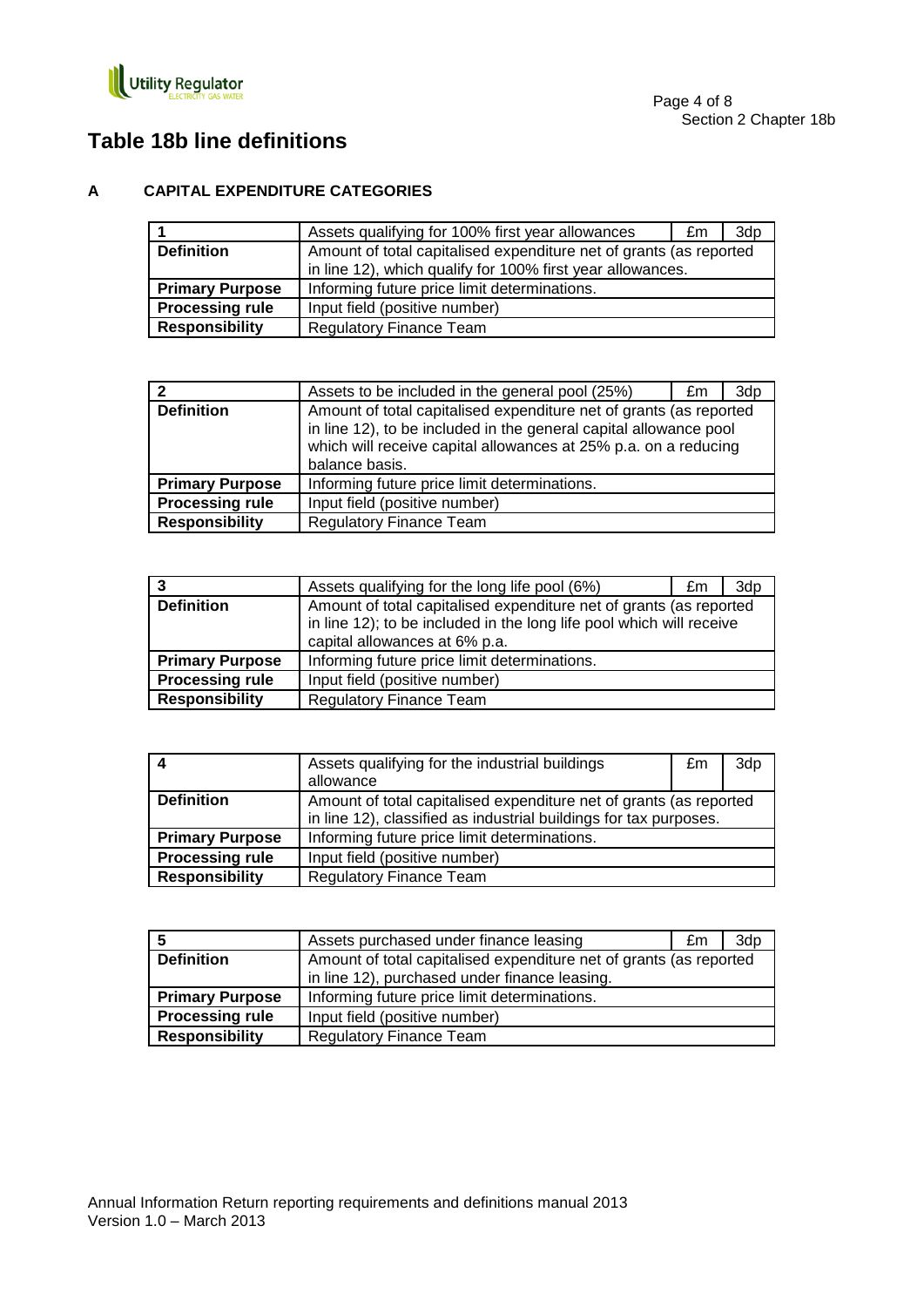

## **Table 18b line definitions**

#### **A CAPITAL EXPENDITURE CATEGORIES**

|                        | Assets qualifying for 100% first year allowances                   | £m | 3dp |
|------------------------|--------------------------------------------------------------------|----|-----|
| <b>Definition</b>      | Amount of total capitalised expenditure net of grants (as reported |    |     |
|                        | in line 12), which qualify for 100% first year allowances.         |    |     |
| <b>Primary Purpose</b> | Informing future price limit determinations.                       |    |     |
| <b>Processing rule</b> | Input field (positive number)                                      |    |     |
| <b>Responsibility</b>  | <b>Regulatory Finance Team</b>                                     |    |     |

| $\mathbf{c}$           | Assets to be included in the general pool (25%)                                                                                                                                                                              | £m | 3dp |
|------------------------|------------------------------------------------------------------------------------------------------------------------------------------------------------------------------------------------------------------------------|----|-----|
| <b>Definition</b>      | Amount of total capitalised expenditure net of grants (as reported<br>in line 12), to be included in the general capital allowance pool<br>which will receive capital allowances at 25% p.a. on a reducing<br>balance basis. |    |     |
| <b>Primary Purpose</b> | Informing future price limit determinations.                                                                                                                                                                                 |    |     |
| <b>Processing rule</b> | Input field (positive number)                                                                                                                                                                                                |    |     |
| <b>Responsibility</b>  | <b>Regulatory Finance Team</b>                                                                                                                                                                                               |    |     |

|                        | Assets qualifying for the long life pool (6%)                        | £m | 3dp |
|------------------------|----------------------------------------------------------------------|----|-----|
| <b>Definition</b>      | Amount of total capitalised expenditure net of grants (as reported   |    |     |
|                        | in line 12); to be included in the long life pool which will receive |    |     |
|                        | capital allowances at 6% p.a.                                        |    |     |
| <b>Primary Purpose</b> | Informing future price limit determinations.                         |    |     |
| <b>Processing rule</b> | Input field (positive number)                                        |    |     |
| <b>Responsibility</b>  | <b>Regulatory Finance Team</b>                                       |    |     |

|                        | Assets qualifying for the industrial buildings                     | £m | 3dp |
|------------------------|--------------------------------------------------------------------|----|-----|
|                        | allowance                                                          |    |     |
| <b>Definition</b>      | Amount of total capitalised expenditure net of grants (as reported |    |     |
|                        | in line 12), classified as industrial buildings for tax purposes.  |    |     |
| <b>Primary Purpose</b> | Informing future price limit determinations.                       |    |     |
| <b>Processing rule</b> | Input field (positive number)                                      |    |     |
| <b>Responsibility</b>  | <b>Regulatory Finance Team</b>                                     |    |     |

|                        | Assets purchased under finance leasing                             | £m | 3dp |
|------------------------|--------------------------------------------------------------------|----|-----|
| <b>Definition</b>      | Amount of total capitalised expenditure net of grants (as reported |    |     |
|                        | in line 12), purchased under finance leasing.                      |    |     |
| <b>Primary Purpose</b> | Informing future price limit determinations.                       |    |     |
| <b>Processing rule</b> | Input field (positive number)                                      |    |     |
| <b>Responsibility</b>  | <b>Regulatory Finance Team</b>                                     |    |     |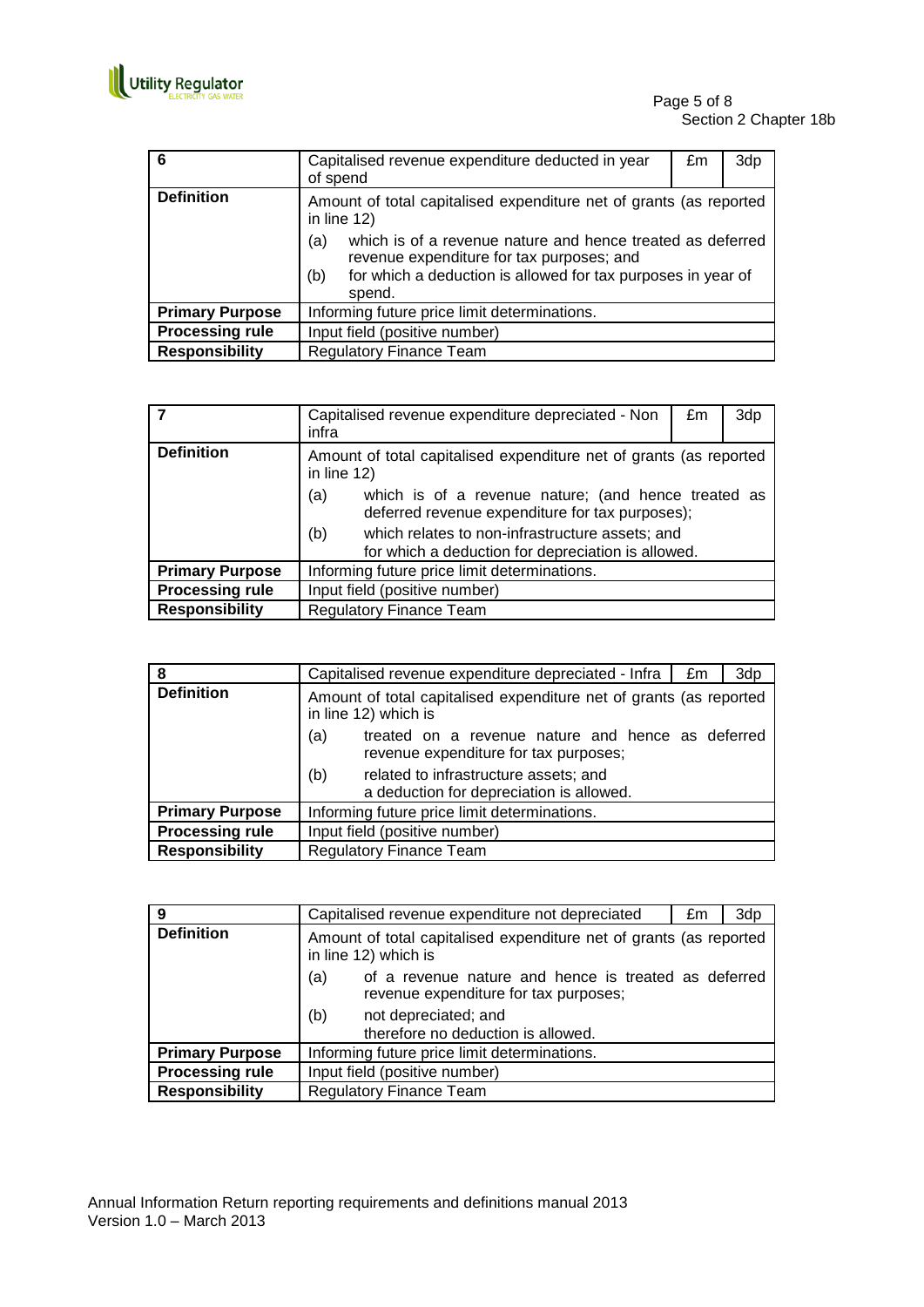

| 6                      | Capitalised revenue expenditure deducted in year<br>of spend                                                                                                                                    | £m | 3dp |
|------------------------|-------------------------------------------------------------------------------------------------------------------------------------------------------------------------------------------------|----|-----|
| <b>Definition</b>      | Amount of total capitalised expenditure net of grants (as reported<br>in line $12$ )                                                                                                            |    |     |
|                        | which is of a revenue nature and hence treated as deferred<br>(a)<br>revenue expenditure for tax purposes; and<br>for which a deduction is allowed for tax purposes in year of<br>(b)<br>spend. |    |     |
| <b>Primary Purpose</b> | Informing future price limit determinations.                                                                                                                                                    |    |     |
| <b>Processing rule</b> | Input field (positive number)                                                                                                                                                                   |    |     |
| <b>Responsibility</b>  | <b>Regulatory Finance Team</b>                                                                                                                                                                  |    |     |

|                        | Capitalised revenue expenditure depreciated - Non<br>infra                                                    | £m | 3dp |
|------------------------|---------------------------------------------------------------------------------------------------------------|----|-----|
| <b>Definition</b>      | Amount of total capitalised expenditure net of grants (as reported<br>in line $12$ )                          |    |     |
|                        | which is of a revenue nature; (and hence treated as<br>(a)<br>deferred revenue expenditure for tax purposes); |    |     |
|                        | (b)<br>which relates to non-infrastructure assets; and<br>for which a deduction for depreciation is allowed.  |    |     |
| <b>Primary Purpose</b> | Informing future price limit determinations.                                                                  |    |     |
| <b>Processing rule</b> | Input field (positive number)                                                                                 |    |     |
| <b>Responsibility</b>  | <b>Regulatory Finance Team</b>                                                                                |    |     |

| 8                      | Capitalised revenue expenditure depreciated - Infra                                               | £m | 3dp |
|------------------------|---------------------------------------------------------------------------------------------------|----|-----|
| <b>Definition</b>      | Amount of total capitalised expenditure net of grants (as reported<br>in line 12) which is        |    |     |
|                        | (a)<br>treated on a revenue nature and hence as deferred<br>revenue expenditure for tax purposes; |    |     |
|                        | (b)<br>related to infrastructure assets; and<br>a deduction for depreciation is allowed.          |    |     |
| <b>Primary Purpose</b> | Informing future price limit determinations.                                                      |    |     |
| <b>Processing rule</b> | Input field (positive number)                                                                     |    |     |
| <b>Responsibility</b>  | <b>Regulatory Finance Team</b>                                                                    |    |     |

| 9                      | Capitalised revenue expenditure not depreciated                                                      | £m | 3dp |
|------------------------|------------------------------------------------------------------------------------------------------|----|-----|
| <b>Definition</b>      | Amount of total capitalised expenditure net of grants (as reported<br>in line 12) which is           |    |     |
|                        | of a revenue nature and hence is treated as deferred<br>(a)<br>revenue expenditure for tax purposes; |    |     |
|                        | (b)<br>not depreciated; and<br>therefore no deduction is allowed.                                    |    |     |
| <b>Primary Purpose</b> | Informing future price limit determinations.                                                         |    |     |
| <b>Processing rule</b> | Input field (positive number)                                                                        |    |     |
| <b>Responsibility</b>  | <b>Regulatory Finance Team</b>                                                                       |    |     |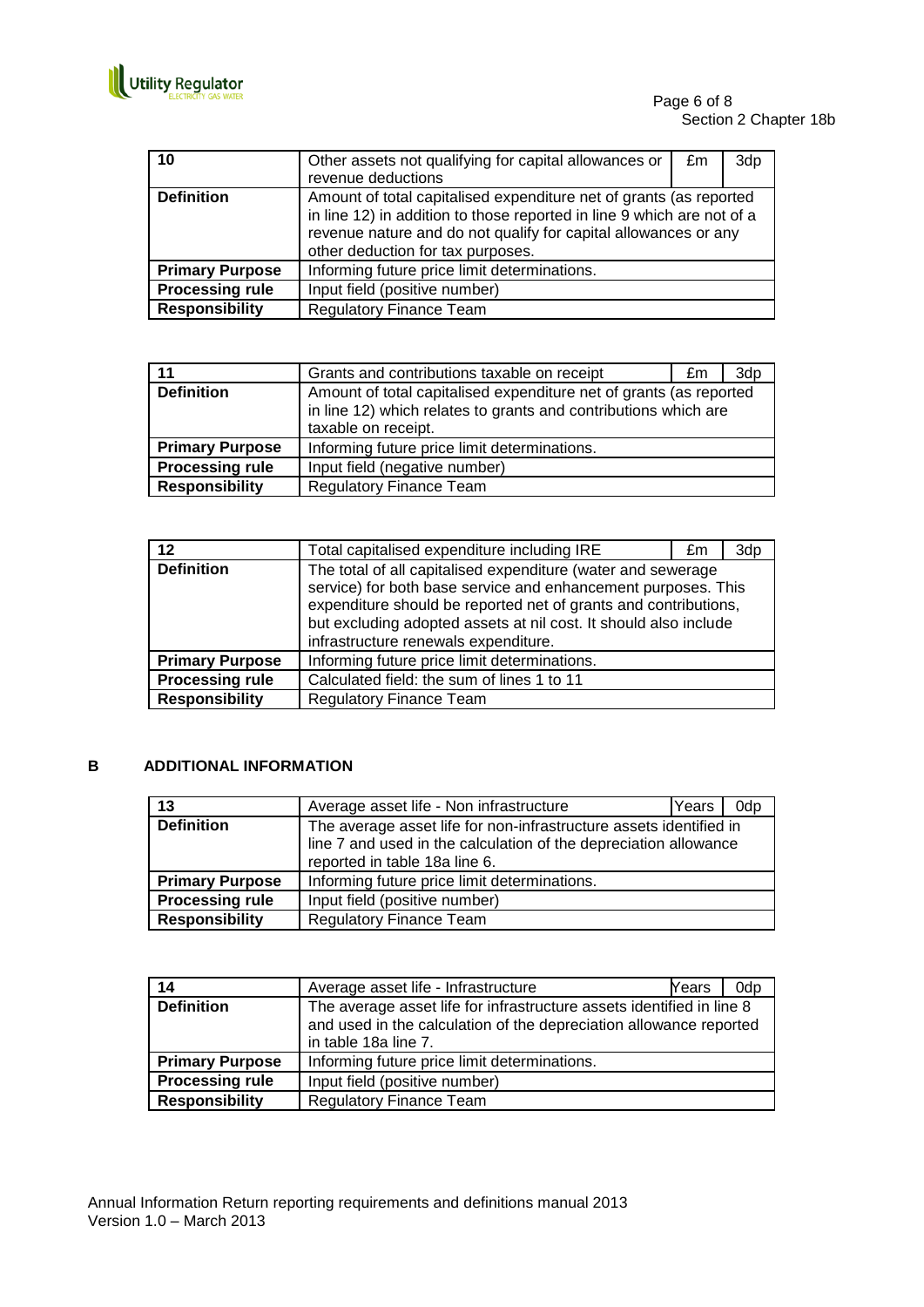

| 10                     | Other assets not qualifying for capital allowances or<br>revenue deductions                                                                                                                                                                          | £m | 3dp |
|------------------------|------------------------------------------------------------------------------------------------------------------------------------------------------------------------------------------------------------------------------------------------------|----|-----|
| <b>Definition</b>      | Amount of total capitalised expenditure net of grants (as reported<br>in line 12) in addition to those reported in line 9 which are not of a<br>revenue nature and do not qualify for capital allowances or any<br>other deduction for tax purposes. |    |     |
| <b>Primary Purpose</b> | Informing future price limit determinations.                                                                                                                                                                                                         |    |     |
| <b>Processing rule</b> | Input field (positive number)                                                                                                                                                                                                                        |    |     |
| <b>Responsibility</b>  | <b>Regulatory Finance Team</b>                                                                                                                                                                                                                       |    |     |

| 11                     | Grants and contributions taxable on receipt                                                                                                                  | £m | 3dp |
|------------------------|--------------------------------------------------------------------------------------------------------------------------------------------------------------|----|-----|
| <b>Definition</b>      | Amount of total capitalised expenditure net of grants (as reported<br>in line 12) which relates to grants and contributions which are<br>taxable on receipt. |    |     |
| <b>Primary Purpose</b> | Informing future price limit determinations.                                                                                                                 |    |     |
| <b>Processing rule</b> | Input field (negative number)                                                                                                                                |    |     |
| <b>Responsibility</b>  | <b>Regulatory Finance Team</b>                                                                                                                               |    |     |

| 12                     | Total capitalised expenditure including IRE                                                                                                                                                                                                                                                                  | £m | 3dp |
|------------------------|--------------------------------------------------------------------------------------------------------------------------------------------------------------------------------------------------------------------------------------------------------------------------------------------------------------|----|-----|
| <b>Definition</b>      | The total of all capitalised expenditure (water and sewerage<br>service) for both base service and enhancement purposes. This<br>expenditure should be reported net of grants and contributions,<br>but excluding adopted assets at nil cost. It should also include<br>infrastructure renewals expenditure. |    |     |
| <b>Primary Purpose</b> | Informing future price limit determinations.                                                                                                                                                                                                                                                                 |    |     |
| <b>Processing rule</b> | Calculated field: the sum of lines 1 to 11                                                                                                                                                                                                                                                                   |    |     |
| <b>Responsibility</b>  | <b>Regulatory Finance Team</b>                                                                                                                                                                                                                                                                               |    |     |

#### **B ADDITIONAL INFORMATION**

| 13                     | Average asset life - Non infrastructure                                                                                                                                 | Years | 0dp |
|------------------------|-------------------------------------------------------------------------------------------------------------------------------------------------------------------------|-------|-----|
| <b>Definition</b>      | The average asset life for non-infrastructure assets identified in<br>line 7 and used in the calculation of the depreciation allowance<br>reported in table 18a line 6. |       |     |
| <b>Primary Purpose</b> | Informing future price limit determinations.                                                                                                                            |       |     |
| <b>Processing rule</b> | Input field (positive number)                                                                                                                                           |       |     |
| <b>Responsibility</b>  | <b>Regulatory Finance Team</b>                                                                                                                                          |       |     |

| 14                     | Average asset life - Infrastructure                                                                                                                                 | Years | 0dp |
|------------------------|---------------------------------------------------------------------------------------------------------------------------------------------------------------------|-------|-----|
| <b>Definition</b>      | The average asset life for infrastructure assets identified in line 8<br>and used in the calculation of the depreciation allowance reported<br>in table 18a line 7. |       |     |
| <b>Primary Purpose</b> | Informing future price limit determinations.                                                                                                                        |       |     |
| <b>Processing rule</b> | Input field (positive number)                                                                                                                                       |       |     |
| <b>Responsibility</b>  | <b>Regulatory Finance Team</b>                                                                                                                                      |       |     |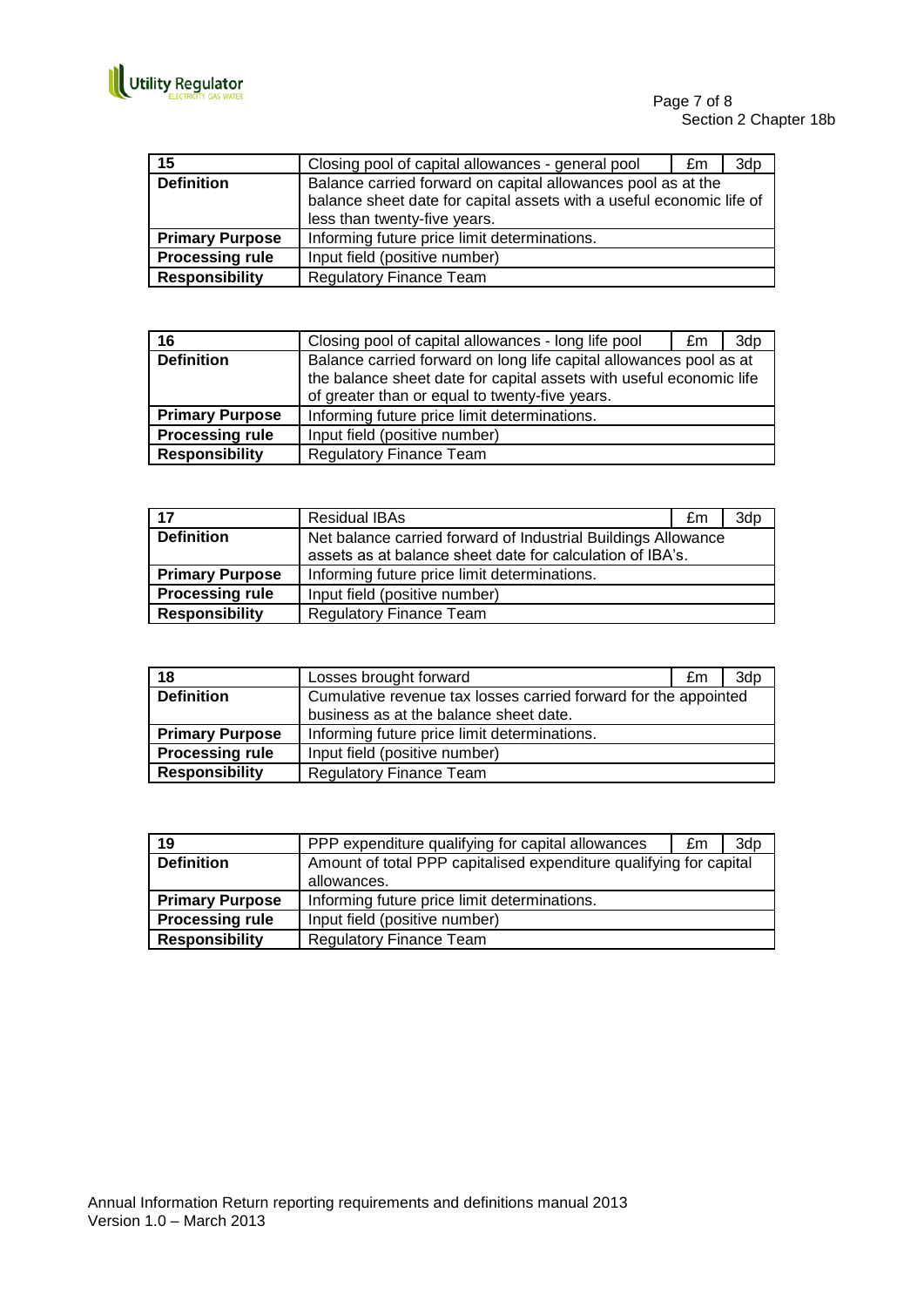

Page 7 of 8 Section 2 Chapter 18b

| 15                     | Closing pool of capital allowances - general pool                                                                                                                    | £m | 3dp |
|------------------------|----------------------------------------------------------------------------------------------------------------------------------------------------------------------|----|-----|
| <b>Definition</b>      | Balance carried forward on capital allowances pool as at the<br>balance sheet date for capital assets with a useful economic life of<br>less than twenty-five years. |    |     |
| <b>Primary Purpose</b> | Informing future price limit determinations.                                                                                                                         |    |     |
| <b>Processing rule</b> | Input field (positive number)                                                                                                                                        |    |     |
| <b>Responsibility</b>  | <b>Regulatory Finance Team</b>                                                                                                                                       |    |     |

| 16                     | Closing pool of capital allowances - long life pool                                                                                                                                         | £m | 3dp |
|------------------------|---------------------------------------------------------------------------------------------------------------------------------------------------------------------------------------------|----|-----|
| <b>Definition</b>      | Balance carried forward on long life capital allowances pool as at<br>the balance sheet date for capital assets with useful economic life<br>of greater than or equal to twenty-five years. |    |     |
| <b>Primary Purpose</b> | Informing future price limit determinations.                                                                                                                                                |    |     |
| <b>Processing rule</b> | Input field (positive number)                                                                                                                                                               |    |     |
| <b>Responsibility</b>  | <b>Regulatory Finance Team</b>                                                                                                                                                              |    |     |

| $\overline{17}$        | <b>Residual IBAs</b>                                          | £m | 3dp |
|------------------------|---------------------------------------------------------------|----|-----|
| <b>Definition</b>      | Net balance carried forward of Industrial Buildings Allowance |    |     |
|                        | assets as at balance sheet date for calculation of IBA's.     |    |     |
| <b>Primary Purpose</b> | Informing future price limit determinations.                  |    |     |
| <b>Processing rule</b> | Input field (positive number)                                 |    |     |
| <b>Responsibility</b>  | <b>Regulatory Finance Team</b>                                |    |     |

| 18                     | Losses brought forward                                          | £m | 3d <sub>p</sub> |
|------------------------|-----------------------------------------------------------------|----|-----------------|
| <b>Definition</b>      | Cumulative revenue tax losses carried forward for the appointed |    |                 |
|                        | business as at the balance sheet date.                          |    |                 |
| <b>Primary Purpose</b> | Informing future price limit determinations.                    |    |                 |
| <b>Processing rule</b> | Input field (positive number)                                   |    |                 |
| <b>Responsibility</b>  | <b>Regulatory Finance Team</b>                                  |    |                 |

| 19                     | PPP expenditure qualifying for capital allowances                                 | £m | 3d <sub>p</sub> |
|------------------------|-----------------------------------------------------------------------------------|----|-----------------|
| <b>Definition</b>      | Amount of total PPP capitalised expenditure qualifying for capital<br>allowances. |    |                 |
| <b>Primary Purpose</b> | Informing future price limit determinations.                                      |    |                 |
| <b>Processing rule</b> | Input field (positive number)                                                     |    |                 |
| <b>Responsibility</b>  | <b>Regulatory Finance Team</b>                                                    |    |                 |